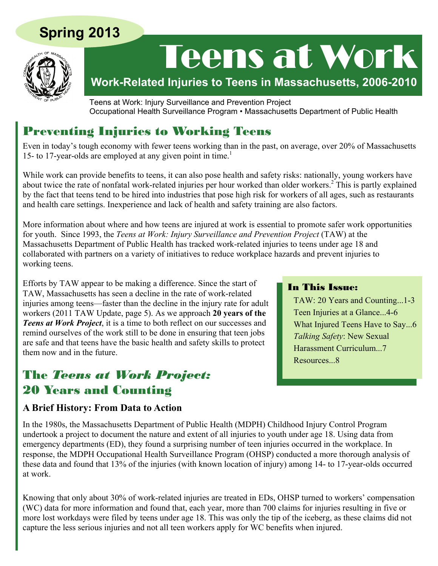# **Spring 2013**



# Teens at Work

**Work-Related Injuries to Teens in Massachusetts, 2006-2010**

Teens at Work: Injury Surveillance and Prevention Project Occupational Health Surveillance Program • Massachusetts Department of Public Health

# Preventing Injuries to Working Teens

Even in today's tough economy with fewer teens working than in the past, on average, over 20% of Massachusetts 15- to 17-year-olds are employed at any given point in time.<sup>1</sup>

While work can provide benefits to teens, it can also pose health and safety risks: nationally, young workers have about twice the rate of nonfatal work-related injuries per hour worked than older workers.<sup>2</sup> This is partly explained by the fact that teens tend to be hired into industries that pose high risk for workers of all ages, such as restaurants and health care settings. Inexperience and lack of health and safety training are also factors.

More information about where and how teens are injured at work is essential to promote safer work opportunities for youth. Since 1993, the *Teens at Work: Injury Surveillance and Prevention Project* (TAW) at the Massachusetts Department of Public Health has tracked work-related injuries to teens under age 18 and collaborated with partners on a variety of initiatives to reduce workplace hazards and prevent injuries to working teens.

Efforts by TAW appear to be making a difference. Since the start of TAW, Massachusetts has seen a decline in the rate of work-related injuries among teens—faster than the decline in the injury rate for adult workers (2011 TAW Update, page 5). As we approach **20 years of the**  *Teens at Work Project*, it is a time to both reflect on our successes and remind ourselves of the work still to be done in ensuring that teen jobs are safe and that teens have the basic health and safety skills to protect them now and in the future.

# The *Teens at Work Project:*  20 Years and Counting

## **A Brief History: From Data to Action**

In the 1980s, the Massachusetts Department of Public Health (MDPH) Childhood Injury Control Program undertook a project to document the nature and extent of all injuries to youth under age 18. Using data from emergency departments (ED), they found a surprising number of teen injuries occurred in the workplace. In response, the MDPH Occupational Health Surveillance Program (OHSP) conducted a more thorough analysis of these data and found that 13% of the injuries (with known location of injury) among 14- to 17-year-olds occurred at work.

Knowing that only about 30% of work-related injuries are treated in EDs, OHSP turned to workers' compensation (WC) data for more information and found that, each year, more than 700 claims for injuries resulting in five or more lost workdays were filed by teens under age 18. This was only the tip of the iceberg, as these claims did not capture the less serious injuries and not all teen workers apply for WC benefits when injured.

## In This Issue:

TAW: 20 Years and Counting...1-3 Teen Injuries at a Glance...4-6 What Injured Teens Have to Say...6 *Talking Safety*: New Sexual Harassment Curriculum...7 Resources...8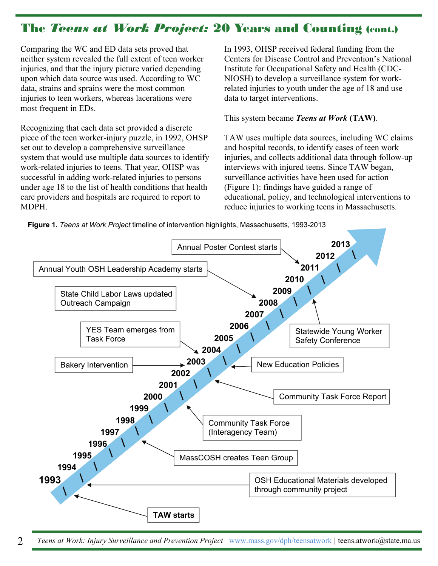# The *Teens at Work Project:* 20 Years and Counting (cont.)

Comparing the WC and ED data sets proved that neither system revealed the full extent of teen worker injuries, and that the injury picture varied depending upon which data source was used. According to WC data, strains and sprains were the most common injuries to teen workers, whereas lacerations were most frequent in EDs.

Recognizing that each data set provided a discrete piece of the teen worker-injury puzzle, in 1992, OHSP set out to develop a comprehensive surveillance system that would use multiple data sources to identify work-related injuries to teens. That year, OHSP was successful in adding work-related injuries to persons under age 18 to the list of health conditions that health care providers and hospitals are required to report to MDPH.

In 1993, OHSP received federal funding from the Centers for Disease Control and Prevention's National Institute for Occupational Safety and Health (CDC-NIOSH) to develop a surveillance system for workrelated injuries to youth under the age of 18 and use data to target interventions.

#### This system became *Teens at Work* **(TAW)**.

TAW uses multiple data sources, including WC claims and hospital records, to identify cases of teen work injuries, and collects additional data through follow-up interviews with injured teens. Since TAW began, surveillance activities have been used for action (Figure 1): findings have guided a range of educational, policy, and technological interventions to reduce injuries to working teens in Massachusetts.

**Figure 1.** *Teens at Work Project* timeline of intervention highlights, Massachusetts, 1993-2013



2 *Teens at Work: Injury Surveillance and Prevention Project |* www.mass.gov/dph/teensatwork *|* teens.atwork@state.ma.us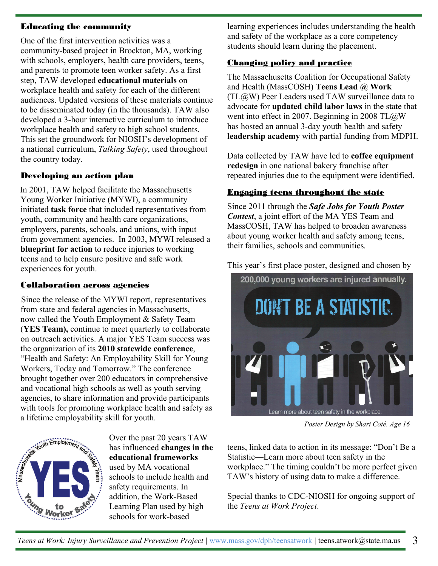#### Educating the community

One of the first intervention activities was a community-based project in Brockton, MA, working with schools, employers, health care providers, teens, and parents to promote teen worker safety. As a first step, TAW developed **educational materials** on workplace health and safety for each of the different audiences. Updated versions of these materials continue to be disseminated today (in the thousands). TAW also developed a 3-hour interactive curriculum to introduce workplace health and safety to high school students. This set the groundwork for NIOSH's development of a national curriculum, *Talking Safety*, used throughout the country today.

#### Developing an action plan

In 2001, TAW helped facilitate the Massachusetts Young Worker Initiative (MYWI), a community initiated **task force** that included representatives from youth, community and health care organizations, employers, parents, schools, and unions, with input from government agencies. In 2003, MYWI released a **blueprint for action** to reduce injuries to working teens and to help ensure positive and safe work experiences for youth.

#### Collaboration across agencies

Since the release of the MYWI report, representatives from state and federal agencies in Massachusetts, now called the Youth Employment & Safety Team (**YES Team),** continue to meet quarterly to collaborate on outreach activities. A major YES Team success was the organization of its **2010 statewide conference**, "Health and Safety: An Employability Skill for Young Workers, Today and Tomorrow." The conference brought together over 200 educators in comprehensive and vocational high schools as well as youth serving agencies, to share information and provide participants with tools for promoting workplace health and safety as a lifetime employability skill for youth.



Over the past 20 years TAW has influenced **changes in the educational frameworks**  used by MA vocational schools to include health and safety requirements. In addition, the Work-Based Learning Plan used by high schools for work-based

learning experiences includes understanding the health and safety of the workplace as a core competency students should learn during the placement.

## Changing policy and practice

The Massachusetts Coalition for Occupational Safety and Health (MassCOSH) **Teens Lead @ Work**  (TL@W) Peer Leaders used TAW surveillance data to advocate for **updated child labor laws** in the state that went into effect in 2007. Beginning in 2008 TL@W has hosted an annual 3-day youth health and safety **leadership academy** with partial funding from MDPH.

Data collected by TAW have led to **coffee equipment redesign** in one national bakery franchise after repeated injuries due to the equipment were identified.

## Engaging teens throughout the state

Since 2011 through the *Safe Jobs for Youth Poster Contest*, a joint effort of the MA YES Team and MassCOSH, TAW has helped to broaden awareness about young worker health and safety among teens, their families, schools and communities*.* 

This year's first place poster, designed and chosen by



*Poster Design by Shari Coté, Age 16* 

teens, linked data to action in its message: "Don't Be a Statistic—Learn more about teen safety in the workplace." The timing couldn't be more perfect given TAW's history of using data to make a difference.

Special thanks to CDC-NIOSH for ongoing support of the *Teens at Work Project*.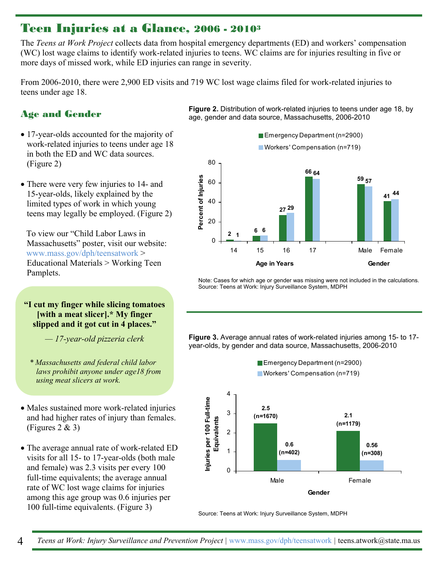# Teen Injuries at a Glance, 2006 - 20103

The *Teens at Work Project* collects data from hospital emergency departments (ED) and workers' compensation (WC) lost wage claims to identify work-related injuries to teens. WC claims are for injuries resulting in five or more days of missed work, while ED injuries can range in severity.

From 2006-2010, there were 2,900 ED visits and 719 WC lost wage claims filed for work-related injuries to teens under age 18.

#### Age and Gender

- 17-year-olds accounted for the majority of work-related injuries to teens under age 18 in both the ED and WC data sources. (Figure 2)
- There were very few injuries to 14- and 15-year-olds, likely explained by the limited types of work in which young teens may legally be employed. (Figure 2)

To view our "Child Labor Laws in Massachusetts" poster, visit our website: www.mass.gov/dph/teensatwork > Educational Materials > Working Teen Pamplets.

#### **"I cut my finger while slicing tomatoes [with a meat slicer].\* My finger slipped and it got cut in 4 places."**

*— 17-year-old pizzeria clerk* 

- *laws prohibit anyone under age18 from using meat slicers at work.*
- Males sustained more work-related injuries and had higher rates of injury than females. (Figures 2 & 3)
- The average annual rate of work-related ED visits for all 15- to 17-year-olds (both male and female) was 2.3 visits per every 100 full-time equivalents; the average annual rate of WC lost wage claims for injuries among this age group was 0.6 injuries per 100 full-time equivalents. (Figure 3)

**Figure 2.** Distribution of work-related injuries to teens under age 18, by age, gender and data source, Massachusetts, 2006-2010

**Emergency Department (n=2900)** 



Note: Cases for which age or gender was missing were not included in the calculations. Source: Teens at Work: Injury Surveillance System, MDPH

**Figure 3.** Average annual rates of work-related injuries among 15- to 17 year-olds, by gender and data source, Massachusetts, 2006-2010



Source: Teens at Work: Injury Surveillance System, MDPH

*\* Massachusetts and federal child labor*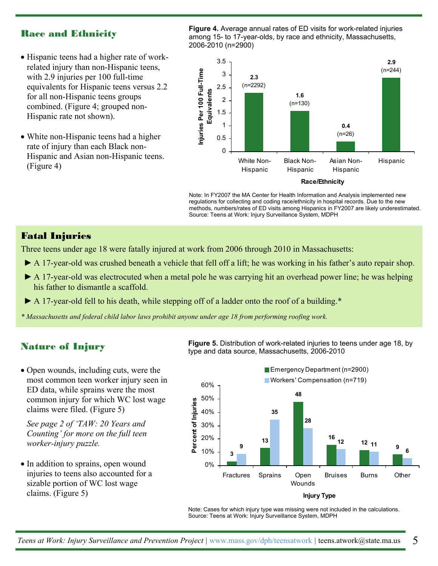### Race and Ethnicity

- Hispanic teens had a higher rate of workrelated injury than non-Hispanic teens, with 2.9 injuries per 100 full-time equivalents for Hispanic teens versus 2.2 for all non-Hispanic teens groups combined. (Figure 4; grouped non-Hispanic rate not shown).
- White non-Hispanic teens had a higher rate of injury than each Black non-Hispanic and Asian non-Hispanic teens. (Figure 4)

**Figure 4.** Average annual rates of ED visits for work-related injuries among 15- to 17-year-olds, by race and ethnicity, Massachusetts, 2006-2010 (n=2900)



Note: In FY2007 the MA Center for Health Information and Analysis implemented new regulations for collecting and coding race/ethnicity in hospital records. Due to the new methods, numbers/rates of ED visits among Hispanics in FY2007 are likely underestimated. Source: Teens at Work: Injury Surveillance System, MDPH

## Fatal Injuries

Three teens under age 18 were fatally injured at work from 2006 through 2010 in Massachusetts:

- ► A 17-year-old was crushed beneath a vehicle that fell off a lift; he was working in his father's auto repair shop.
- ► A 17-year-old was electrocuted when a metal pole he was carrying hit an overhead power line; he was helping his father to dismantle a scaffold.
- ► A 17-year-old fell to his death, while stepping off of a ladder onto the roof of a building.\*
- *\* Massachusetts and federal child labor laws prohibit anyone under age 18 from performing roofing work.*

#### Nature of Injury

• Open wounds, including cuts, were the most common teen worker injury seen in ED data, while sprains were the most common injury for which WC lost wage claims were filed. (Figure 5)

*See page 2 of 'TAW: 20 Years and Counting' for more on the full teen worker-injury puzzle.*

• In addition to sprains, open wound injuries to teens also accounted for a sizable portion of WC lost wage claims. (Figure 5)

**Figure 5.** Distribution of work-related injuries to teens under age 18, by type and data source, Massachusetts, 2006-2010





Note: Cases for which injury type was missing were not included in the calculations. Source: Teens at Work: Injury Surveillance System, MDPH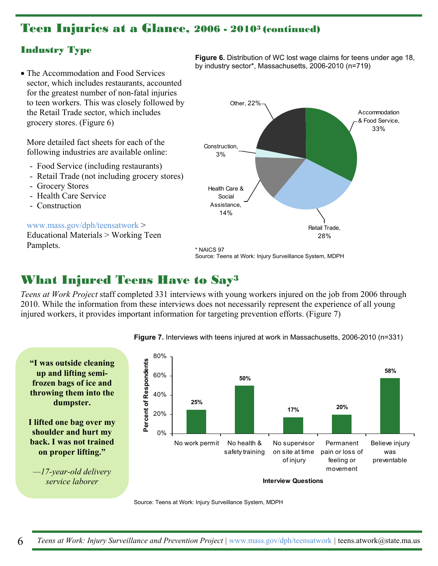# Teen Injuries at a Glance, 2006 - 20103 (continued)

## Industry Type

• The Accommodation and Food Services sector, which includes restaurants, accounted for the greatest number of non-fatal injuries to teen workers. This was closely followed by the Retail Trade sector, which includes grocery stores. (Figure 6)

More detailed fact sheets for each of the following industries are available online:

- Food Service (including restaurants)
- Retail Trade (not including grocery stores)
- Grocery Stores
- Health Care Service
- Construction

#### www.mass.gov/dph/teensatwork >

Educational Materials > Working Teen Pamplets.

**Figure 6.** Distribution of WC lost wage claims for teens under age 18, by industry sector\*, Massachusetts, 2006-2010 (n=719)



# What Injured Teens Have to Say3

*Teens at Work Project* staff completed 331 interviews with young workers injured on the job from 2006 through 2010. While the information from these interviews does not necessarily represent the experience of all young injured workers, it provides important information for targeting prevention efforts. (Figure 7)



#### **Figure 7.** Interviews with teens injured at work in Massachusetts, 2006-2010 (n=331)

Source: Teens at Work: Injury Surveillance System, MDPH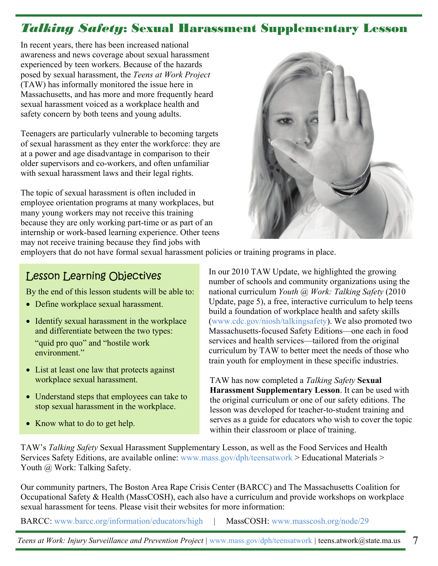# *Talking Safety*: Sexual Harassment Supplementary Lesson

In recent years, there has been increased national awareness and news coverage about sexual harassment experienced by teen workers. Because of the hazards posed by sexual harassment, the *Teens at Work Project*  (TAW) has informally monitored the issue here in Massachusetts, and has more and more frequently heard sexual harassment voiced as a workplace health and safety concern by both teens and young adults.

Teenagers are particularly vulnerable to becoming targets of sexual harassment as they enter the workforce: they are at a power and age disadvantage in comparison to their older supervisors and co-workers, and often unfamiliar with sexual harassment laws and their legal rights.

The topic of sexual harassment is often included in employee orientation programs at many workplaces, but many young workers may not receive this training because they are only working part-time or as part of an internship or work-based learning experience. Other teens may not receive training because they find jobs with



employers that do not have formal sexual harassment policies or training programs in place.

## Lesson Learning Objectives

By the end of this lesson students will be able to:

- Define workplace sexual harassment.
- Identify sexual harassment in the workplace and differentiate between the two types: "quid pro quo" and "hostile work environment."
- List at least one law that protects against workplace sexual harassment.
- Understand steps that employees can take to stop sexual harassment in the workplace.
- Know what to do to get help.

In our 2010 TAW Update, we highlighted the growing number of schools and community organizations using the national curriculum *Youth @ Work: Talking Safety* (2010 Update, page 5), a free, interactive curriculum to help teens build a foundation of workplace health and safety skills (www.cdc.gov/niosh/talkingsafety). We also promoted two Massachusetts-focused Safety Editions—one each in food services and health services—tailored from the original curriculum by TAW to better meet the needs of those who train youth for employment in these specific industries.

TAW has now completed a *Talking Safety* **Sexual Harassment Supplementary Lesson**. It can be used with the original curriculum or one of our safety editions. The lesson was developed for teacher-to-student training and serves as a guide for educators who wish to cover the topic within their classroom or place of training.

TAW's *Talking Safety* Sexual Harassment Supplementary Lesson, as well as the Food Services and Health Services Safety Editions, are available online: www.mass.gov/dph/teensatwork > Educational Materials > Youth @ Work: Talking Safety.

Our community partners, The Boston Area Rape Crisis Center (BARCC) and The Massachusetts Coalition for Occupational Safety & Health (MassCOSH), each also have a curriculum and provide workshops on workplace sexual harassment for teens. Please visit their websites for more information:

BARCC: www.barcc.org/information/educators/high | MassCOSH: www.masscosh.org/node/29

*Teens at Work: Injury Surveillance and Prevention Project | www.mass.gov/dph/teensatwork | teens.atwork@state.ma.us* 7